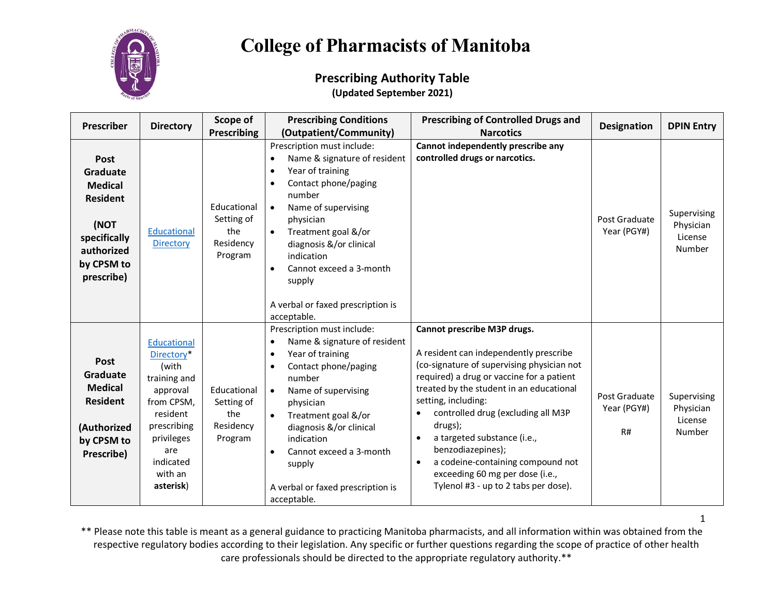

#### **Prescribing Authority Table (Updated September 2021)**

| <b>Prescriber</b>                                                                                                       | <b>Directory</b>                                                                                                                                                  | Scope of                                                 | <b>Prescribing Conditions</b>                                                                                                                                                                                                                                                                                                                      | <b>Prescribing of Controlled Drugs and</b>                                                                                                                                                                                                                                                                                                                                                                                                          | <b>Designation</b>                 | <b>DPIN Entry</b>                             |
|-------------------------------------------------------------------------------------------------------------------------|-------------------------------------------------------------------------------------------------------------------------------------------------------------------|----------------------------------------------------------|----------------------------------------------------------------------------------------------------------------------------------------------------------------------------------------------------------------------------------------------------------------------------------------------------------------------------------------------------|-----------------------------------------------------------------------------------------------------------------------------------------------------------------------------------------------------------------------------------------------------------------------------------------------------------------------------------------------------------------------------------------------------------------------------------------------------|------------------------------------|-----------------------------------------------|
|                                                                                                                         |                                                                                                                                                                   | <b>Prescribing</b>                                       | (Outpatient/Community)                                                                                                                                                                                                                                                                                                                             | <b>Narcotics</b>                                                                                                                                                                                                                                                                                                                                                                                                                                    |                                    |                                               |
| Post<br>Graduate<br><b>Medical</b><br><b>Resident</b><br>(NOT<br>specifically<br>authorized<br>by CPSM to<br>prescribe) | Educational<br><b>Directory</b>                                                                                                                                   | Educational<br>Setting of<br>the<br>Residency<br>Program | Prescription must include:<br>Name & signature of resident<br>$\bullet$<br>Year of training<br>Contact phone/paging<br>number<br>Name of supervising<br>$\bullet$<br>physician<br>Treatment goal &/or<br>$\bullet$<br>diagnosis &/or clinical<br>indication<br>Cannot exceed a 3-month<br>$\bullet$<br>supply<br>A verbal or faxed prescription is | Cannot independently prescribe any<br>controlled drugs or narcotics.                                                                                                                                                                                                                                                                                                                                                                                | Post Graduate<br>Year (PGY#)       | Supervising<br>Physician<br>License<br>Number |
|                                                                                                                         |                                                                                                                                                                   |                                                          | acceptable.<br>Prescription must include:                                                                                                                                                                                                                                                                                                          | Cannot prescribe M3P drugs.                                                                                                                                                                                                                                                                                                                                                                                                                         |                                    |                                               |
| Post<br>Graduate<br><b>Medical</b><br><b>Resident</b><br>(Authorized<br>by CPSM to<br>Prescribe)                        | Educational<br>Directory*<br>(with<br>training and<br>approval<br>from CPSM,<br>resident<br>prescribing<br>privileges<br>are<br>indicated<br>with an<br>asterisk) | Educational<br>Setting of<br>the<br>Residency<br>Program | Name & signature of resident<br>$\bullet$<br>Year of training<br>$\bullet$<br>Contact phone/paging<br>number<br>Name of supervising<br>$\bullet$<br>physician<br>Treatment goal &/or<br>$\bullet$<br>diagnosis &/or clinical<br>indication<br>Cannot exceed a 3-month<br>$\bullet$<br>supply<br>A verbal or faxed prescription is<br>acceptable.   | A resident can independently prescribe<br>(co-signature of supervising physician not<br>required) a drug or vaccine for a patient<br>treated by the student in an educational<br>setting, including:<br>controlled drug (excluding all M3P<br>drugs);<br>a targeted substance (i.e.,<br>$\bullet$<br>benzodiazepines);<br>a codeine-containing compound not<br>$\bullet$<br>exceeding 60 mg per dose (i.e.,<br>Tylenol #3 - up to 2 tabs per dose). | Post Graduate<br>Year (PGY#)<br>R# | Supervising<br>Physician<br>License<br>Number |

\*\* Please note this table is meant as a general guidance to practicing Manitoba pharmacists, and all information within was obtained from the respective regulatory bodies according to their legislation. Any specific or further questions regarding the scope of practice of other health care professionals should be directed to the appropriate regulatory authority.\*\*

1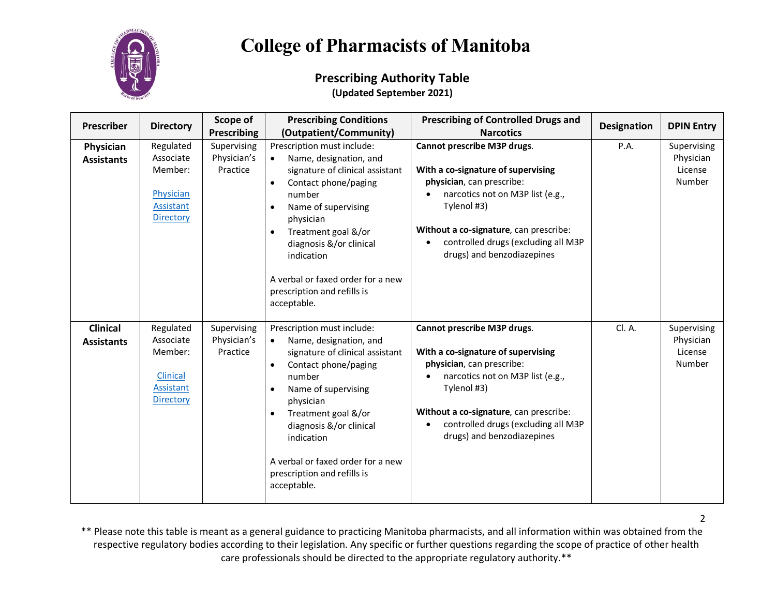

#### **Prescribing Authority Table (Updated September 2021)**

| <b>Prescriber</b>                    | <b>Directory</b>                                                               | Scope of<br><b>Prescribing</b>         | <b>Prescribing Conditions</b><br>(Outpatient/Community)                                                                                                                                                                                                                                                          | <b>Prescribing of Controlled Drugs and</b><br><b>Narcotics</b>                                                                                                                                                                                                   | <b>Designation</b> | <b>DPIN Entry</b>                             |
|--------------------------------------|--------------------------------------------------------------------------------|----------------------------------------|------------------------------------------------------------------------------------------------------------------------------------------------------------------------------------------------------------------------------------------------------------------------------------------------------------------|------------------------------------------------------------------------------------------------------------------------------------------------------------------------------------------------------------------------------------------------------------------|--------------------|-----------------------------------------------|
| Physician<br><b>Assistants</b>       | Regulated<br>Associate<br>Member:<br>Physician<br>Assistant<br>Directory       | Supervising<br>Physician's<br>Practice | Prescription must include:<br>Name, designation, and<br>signature of clinical assistant<br>Contact phone/paging<br>number<br>Name of supervising<br>physician<br>Treatment goal &/or<br>diagnosis &/or clinical<br>indication<br>A verbal or faxed order for a new<br>prescription and refills is<br>acceptable. | Cannot prescribe M3P drugs.<br>With a co-signature of supervising<br>physician, can prescribe:<br>narcotics not on M3P list (e.g.,<br>Tylenol #3)<br>Without a co-signature, can prescribe:<br>controlled drugs (excluding all M3P<br>drugs) and benzodiazepines | P.A.               | Supervising<br>Physician<br>License<br>Number |
| <b>Clinical</b><br><b>Assistants</b> | Regulated<br>Associate<br>Member:<br><b>Clinical</b><br>Assistant<br>Directory | Supervising<br>Physician's<br>Practice | Prescription must include:<br>Name, designation, and<br>signature of clinical assistant<br>Contact phone/paging<br>number<br>Name of supervising<br>physician<br>Treatment goal &/or<br>diagnosis &/or clinical<br>indication<br>A verbal or faxed order for a new<br>prescription and refills is<br>acceptable. | Cannot prescribe M3P drugs.<br>With a co-signature of supervising<br>physician, can prescribe:<br>narcotics not on M3P list (e.g.,<br>Tylenol #3)<br>Without a co-signature, can prescribe:<br>controlled drugs (excluding all M3P<br>drugs) and benzodiazepines | Cl. A.             | Supervising<br>Physician<br>License<br>Number |

\*\* Please note this table is meant as a general guidance to practicing Manitoba pharmacists, and all information within was obtained from the respective regulatory bodies according to their legislation. Any specific or further questions regarding the scope of practice of other health care professionals should be directed to the appropriate regulatory authority.\*\*

2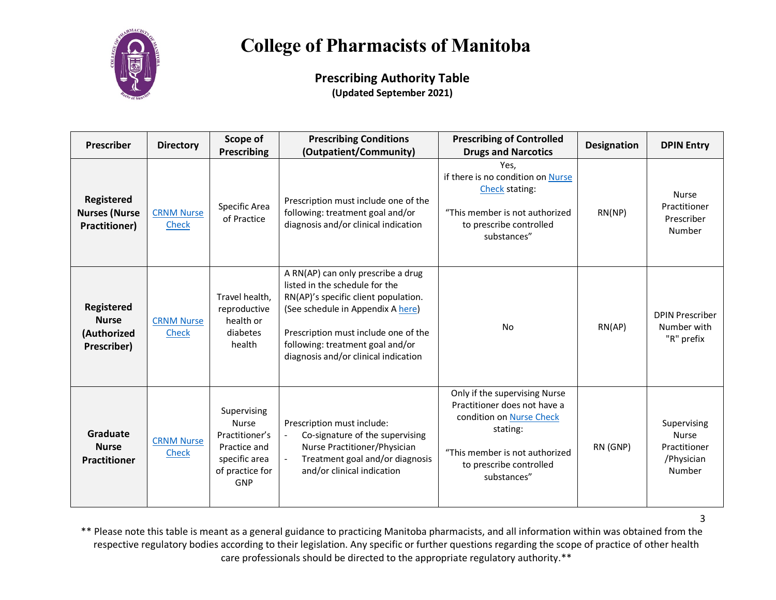

**Prescribing Authority Table (Updated September 2021)**

| <b>Prescriber</b>                                               | <b>Directory</b>           | Scope of<br>Prescribing                                                                                  | <b>Prescribing Conditions</b><br>(Outpatient/Community)                                                                                                                                                                                                               | <b>Prescribing of Controlled</b><br><b>Drugs and Narcotics</b>                                                                                                                    | <b>Designation</b> | <b>DPIN Entry</b>                                                   |
|-----------------------------------------------------------------|----------------------------|----------------------------------------------------------------------------------------------------------|-----------------------------------------------------------------------------------------------------------------------------------------------------------------------------------------------------------------------------------------------------------------------|-----------------------------------------------------------------------------------------------------------------------------------------------------------------------------------|--------------------|---------------------------------------------------------------------|
| Registered<br><b>Nurses (Nurse</b><br><b>Practitioner)</b>      | <b>CRNM Nurse</b><br>Check | Specific Area<br>of Practice                                                                             | Prescription must include one of the<br>following: treatment goal and/or<br>diagnosis and/or clinical indication                                                                                                                                                      | Yes.<br>if there is no condition on Nurse<br>Check stating:<br>"This member is not authorized<br>to prescribe controlled<br>substances"                                           | RN(NP)             | <b>Nurse</b><br>Practitioner<br>Prescriber<br>Number                |
| <b>Registered</b><br><b>Nurse</b><br>(Authorized<br>Prescriber) | <b>CRNM Nurse</b><br>Check | Travel health,<br>reproductive<br>health or<br>diabetes<br>health                                        | A RN(AP) can only prescribe a drug<br>listed in the schedule for the<br>RN(AP)'s specific client population.<br>(See schedule in Appendix A here)<br>Prescription must include one of the<br>following: treatment goal and/or<br>diagnosis and/or clinical indication | No                                                                                                                                                                                | RN(AP)             | <b>DPIN Prescriber</b><br>Number with<br>"R" prefix                 |
| Graduate<br><b>Nurse</b><br><b>Practitioner</b>                 | <b>CRNM Nurse</b><br>Check | Supervising<br><b>Nurse</b><br>Practitioner's<br>Practice and<br>specific area<br>of practice for<br>GNP | Prescription must include:<br>Co-signature of the supervising<br>$\blacksquare$<br>Nurse Practitioner/Physician<br>Treatment goal and/or diagnosis<br>and/or clinical indication                                                                                      | Only if the supervising Nurse<br>Practitioner does not have a<br>condition on Nurse Check<br>stating:<br>"This member is not authorized<br>to prescribe controlled<br>substances" | RN (GNP)           | Supervising<br><b>Nurse</b><br>Practitioner<br>/Physician<br>Number |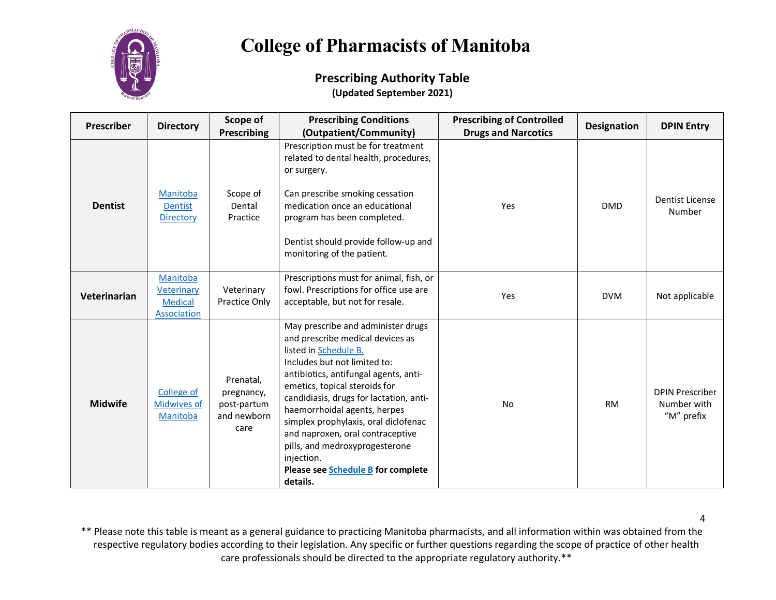

#### **Prescribing Authority Table (Updated September 2021)**

| <b>Prescriber</b> | <b>Directory</b>                                        | Scope of<br><b>Prescribing</b>                                | <b>Prescribing Conditions</b><br>(Outpatient/Community)                                                                                                                                                                                                                                                                                                                                                                                                            | <b>Prescribing of Controlled</b><br><b>Drugs and Narcotics</b> | <b>Designation</b> | <b>DPIN Entry</b>                                   |
|-------------------|---------------------------------------------------------|---------------------------------------------------------------|--------------------------------------------------------------------------------------------------------------------------------------------------------------------------------------------------------------------------------------------------------------------------------------------------------------------------------------------------------------------------------------------------------------------------------------------------------------------|----------------------------------------------------------------|--------------------|-----------------------------------------------------|
| <b>Dentist</b>    | Manitoba<br><b>Dentist</b><br><b>Directory</b>          | Scope of<br>Dental<br>Practice                                | Prescription must be for treatment<br>related to dental health, procedures,<br>or surgery.<br>Can prescribe smoking cessation<br>medication once an educational<br>program has been completed.<br>Dentist should provide follow-up and<br>monitoring of the patient.                                                                                                                                                                                               | Yes                                                            | <b>DMD</b>         | <b>Dentist License</b><br>Number                    |
| Veterinarian      | Manitoba<br>Veterinary<br><b>Medical</b><br>Association | Veterinary<br><b>Practice Only</b>                            | Prescriptions must for animal, fish, or<br>fowl. Prescriptions for office use are<br>acceptable, but not for resale.                                                                                                                                                                                                                                                                                                                                               | Yes                                                            | <b>DVM</b>         | Not applicable                                      |
| <b>Midwife</b>    | College of<br><b>Midwives of</b><br>Manitoba            | Prenatal,<br>pregnancy,<br>post-partum<br>and newborn<br>care | May prescribe and administer drugs<br>and prescribe medical devices as<br>listed in Schedule B.<br>Includes but not limited to:<br>antibiotics, antifungal agents, anti-<br>emetics, topical steroids for<br>candidiasis, drugs for lactation, anti-<br>haemorrhoidal agents, herpes<br>simplex prophylaxis, oral diclofenac<br>and naproxen, oral contraceptive<br>pills, and medroxyprogesterone<br>injection.<br>Please see Schedule B for complete<br>details. | No                                                             | <b>RM</b>          | <b>DPIN Prescriber</b><br>Number with<br>"M" prefix |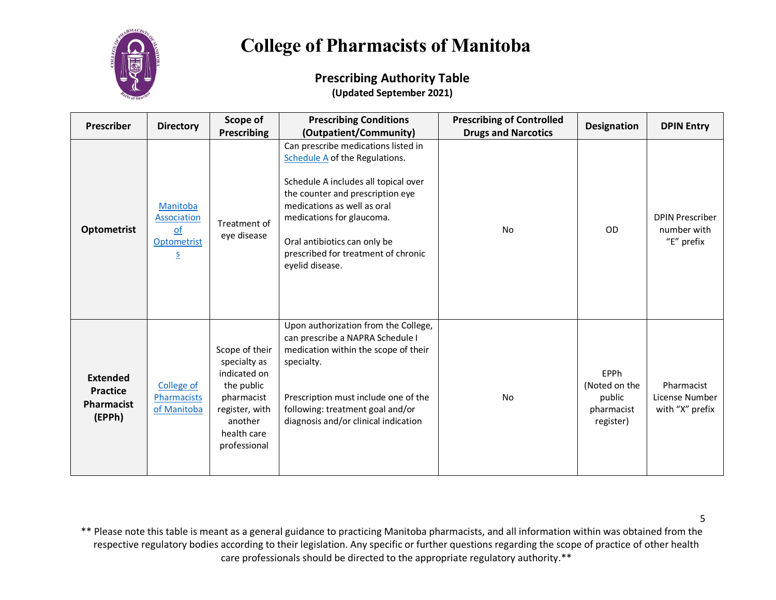

#### **Prescribing Authority Table (Updated September 2021)**

| <b>Prescriber</b>                                                 | <b>Directory</b>                                                                     | Scope of<br><b>Prescribing</b>                                                                                                         | <b>Prescribing Conditions</b><br>(Outpatient/Community)                                                                                                                                                                                                                                                 | <b>Prescribing of Controlled</b><br><b>Drugs and Narcotics</b> | <b>Designation</b>                                         | <b>DPIN Entry</b>                                   |
|-------------------------------------------------------------------|--------------------------------------------------------------------------------------|----------------------------------------------------------------------------------------------------------------------------------------|---------------------------------------------------------------------------------------------------------------------------------------------------------------------------------------------------------------------------------------------------------------------------------------------------------|----------------------------------------------------------------|------------------------------------------------------------|-----------------------------------------------------|
| <b>Optometrist</b>                                                | Manitoba<br><b>Association</b><br>$\Omega$<br>Optometrist<br>$\overline{\mathsf{S}}$ | Treatment of<br>eye disease                                                                                                            | Can prescribe medications listed in<br>Schedule A of the Regulations.<br>Schedule A includes all topical over<br>the counter and prescription eye<br>medications as well as oral<br>medications for glaucoma.<br>Oral antibiotics can only be<br>prescribed for treatment of chronic<br>eyelid disease. | No                                                             | <b>OD</b>                                                  | <b>DPIN Prescriber</b><br>number with<br>"E" prefix |
| <b>Extended</b><br><b>Practice</b><br><b>Pharmacist</b><br>(EPPh) | College of<br>Pharmacists<br>of Manitoba                                             | Scope of their<br>specialty as<br>indicated on<br>the public<br>pharmacist<br>register, with<br>another<br>health care<br>professional | Upon authorization from the College,<br>can prescribe a NAPRA Schedule I<br>medication within the scope of their<br>specialty.<br>Prescription must include one of the<br>following: treatment goal and/or<br>diagnosis and/or clinical indication                                                      | <b>No</b>                                                      | EPPh<br>(Noted on the<br>public<br>pharmacist<br>register) | Pharmacist<br>License Number<br>with "X" prefix     |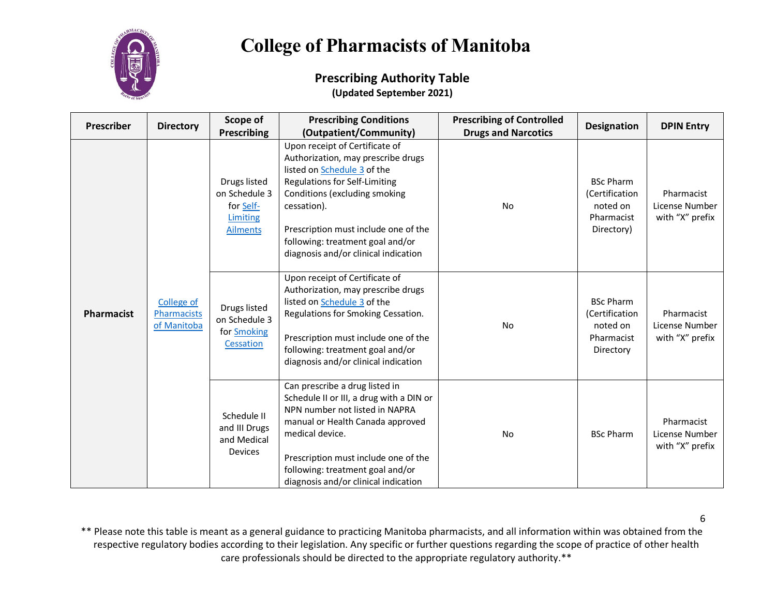

#### **Prescribing Authority Table (Updated September 2021)**

| <b>Prescriber</b> | <b>Directory</b>                         | Scope of                                                                  | <b>Prescribing Conditions</b>                                                                                                                                                                                                                                                                                   | <b>Prescribing of Controlled</b> | <b>Designation</b>                                                         | <b>DPIN Entry</b>                               |
|-------------------|------------------------------------------|---------------------------------------------------------------------------|-----------------------------------------------------------------------------------------------------------------------------------------------------------------------------------------------------------------------------------------------------------------------------------------------------------------|----------------------------------|----------------------------------------------------------------------------|-------------------------------------------------|
|                   |                                          | <b>Prescribing</b>                                                        | (Outpatient/Community)                                                                                                                                                                                                                                                                                          | <b>Drugs and Narcotics</b>       |                                                                            |                                                 |
| Pharmacist        | College of<br>Pharmacists<br>of Manitoba | Drugs listed<br>on Schedule 3<br>for Self-<br>Limiting<br><b>Ailments</b> | Upon receipt of Certificate of<br>Authorization, may prescribe drugs<br>listed on Schedule 3 of the<br><b>Regulations for Self-Limiting</b><br>Conditions (excluding smoking<br>cessation).<br>Prescription must include one of the<br>following: treatment goal and/or<br>diagnosis and/or clinical indication | <b>No</b>                        | <b>BSc Pharm</b><br>(Certification<br>noted on<br>Pharmacist<br>Directory) | Pharmacist<br>License Number<br>with "X" prefix |
|                   |                                          | Drugs listed<br>on Schedule 3<br>for Smoking<br>Cessation                 | Upon receipt of Certificate of<br>Authorization, may prescribe drugs<br>listed on Schedule 3 of the<br>Regulations for Smoking Cessation.<br>Prescription must include one of the<br>following: treatment goal and/or<br>diagnosis and/or clinical indication                                                   | No                               | <b>BSc Pharm</b><br>(Certification<br>noted on<br>Pharmacist<br>Directory  | Pharmacist<br>License Number<br>with "X" prefix |
|                   |                                          | Schedule II<br>and III Drugs<br>and Medical<br><b>Devices</b>             | Can prescribe a drug listed in<br>Schedule II or III, a drug with a DIN or<br>NPN number not listed in NAPRA<br>manual or Health Canada approved<br>medical device.<br>Prescription must include one of the<br>following: treatment goal and/or<br>diagnosis and/or clinical indication                         | No                               | <b>BSc Pharm</b>                                                           | Pharmacist<br>License Number<br>with "X" prefix |